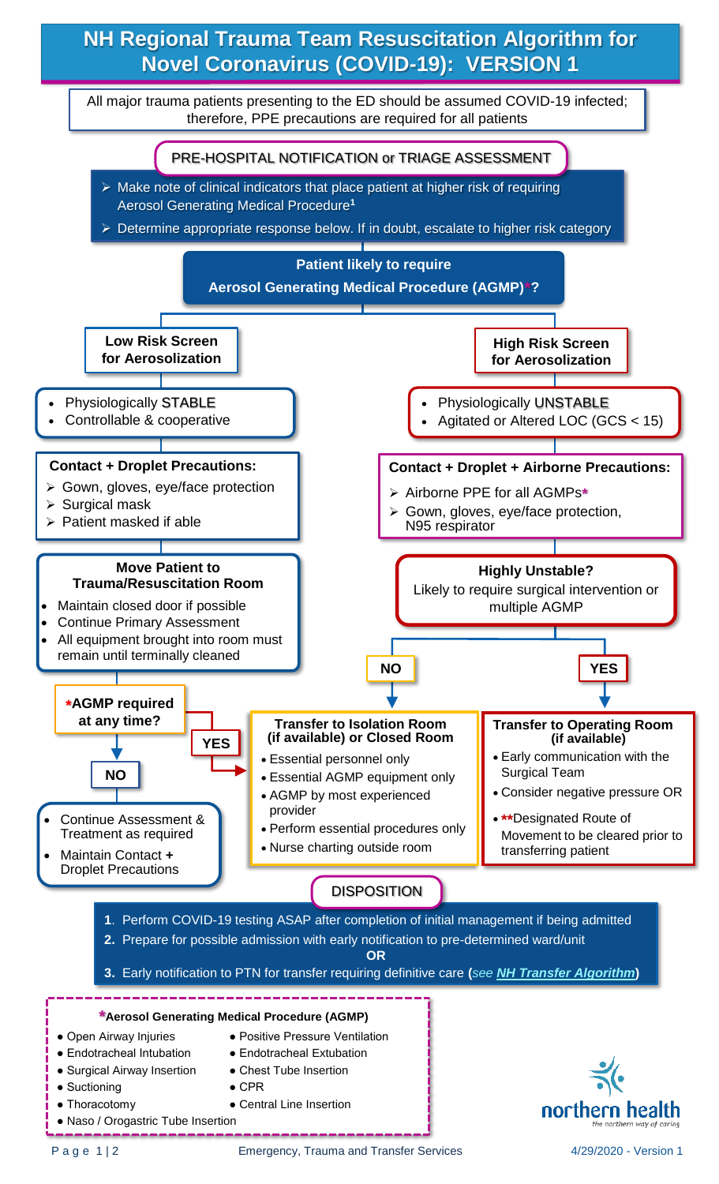## **NH Regional Trauma Team Resuscitation Algorithm for Novel Coronavirus (COVID-19): VERSION 1**

All major trauma patients presenting to the ED should be assumed COVID-19 infected; therefore, PPE precautions are required for all patients